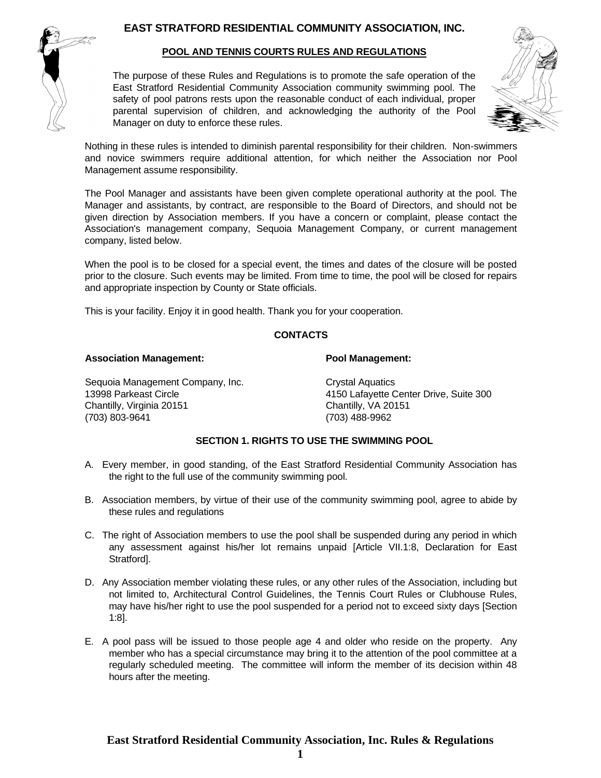# **EAST STRATFORD RESIDENTIAL COMMUNITY ASSOCIATION, INC.**



### **POOL AND TENNIS COURTS RULES AND REGULATIONS**

The purpose of these Rules and Regulations is to promote the safe operation of the East Stratford Residential Community Association community swimming pool. The safety of pool patrons rests upon the reasonable conduct of each individual, proper parental supervision of children, and acknowledging the authority of the Pool Manager on duty to enforce these rules.



Nothing in these rules is intended to diminish parental responsibility for their children. Non-swimmers and novice swimmers require additional attention, for which neither the Association nor Pool Management assume responsibility.

The Pool Manager and assistants have been given complete operational authority at the pool. The Manager and assistants, by contract, are responsible to the Board of Directors, and should not be given direction by Association members. If you have a concern or complaint, please contact the Association's management company, Sequoia Management Company, or current management company, listed below.

When the pool is to be closed for a special event, the times and dates of the closure will be posted prior to the closure. Such events may be limited. From time to time, the pool will be closed for repairs and appropriate inspection by County or State officials.

This is your facility. Enjoy it in good health. Thank you for your cooperation.

### **CONTACTS**

#### **Association Management: Pool Management:**

Sequoia Management Company, Inc. Crystal Aquatics Chantilly, Virginia 20151

13998 Parkeast Circle 13998 Parkeast Circle 13998 Parkeast Circle 14150 Lafayette Center Drive, Suite 300 (703) 803-9641 (703) 488-9962

## **SECTION 1. RIGHTS TO USE THE SWIMMING POOL**

- A. Every member, in good standing, of the East Stratford Residential Community Association has the right to the full use of the community swimming pool.
- B. Association members, by virtue of their use of the community swimming pool, agree to abide by these rules and regulations
- C. The right of Association members to use the pool shall be suspended during any period in which any assessment against his/her lot remains unpaid [Article VII.1:8, Declaration for East Stratford].
- D. Any Association member violating these rules, or any other rules of the Association, including but not limited to, Architectural Control Guidelines, the Tennis Court Rules or Clubhouse Rules, may have his/her right to use the pool suspended for a period not to exceed sixty days [Section 1:8].
- E. A pool pass will be issued to those people age 4 and older who reside on the property. Any member who has a special circumstance may bring it to the attention of the pool committee at a regularly scheduled meeting. The committee will inform the member of its decision within 48 hours after the meeting.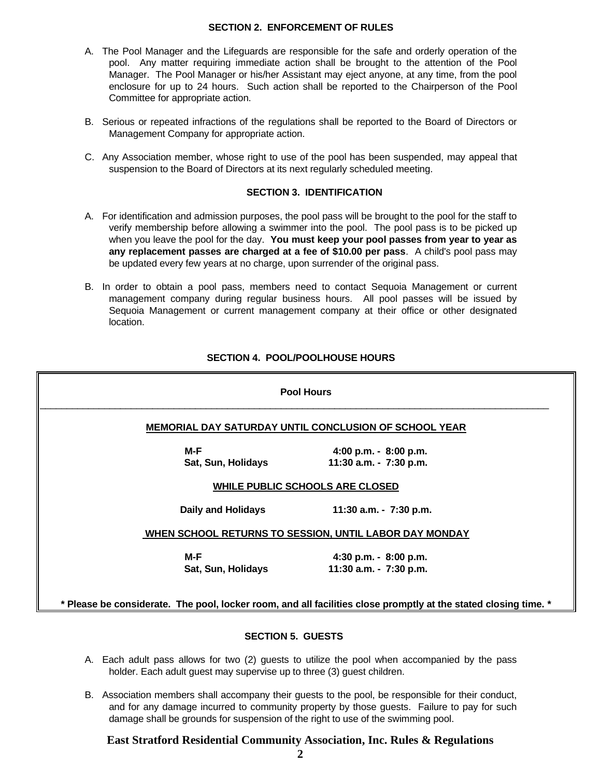#### **SECTION 2. ENFORCEMENT OF RULES**

- A. The Pool Manager and the Lifeguards are responsible for the safe and orderly operation of the pool. Any matter requiring immediate action shall be brought to the attention of the Pool Manager. The Pool Manager or his/her Assistant may eject anyone, at any time, from the pool enclosure for up to 24 hours. Such action shall be reported to the Chairperson of the Pool Committee for appropriate action.
- B. Serious or repeated infractions of the regulations shall be reported to the Board of Directors or Management Company for appropriate action.
- C. Any Association member, whose right to use of the pool has been suspended, may appeal that suspension to the Board of Directors at its next regularly scheduled meeting.

## **SECTION 3. IDENTIFICATION**

- A. For identification and admission purposes, the pool pass will be brought to the pool for the staff to verify membership before allowing a swimmer into the pool. The pool pass is to be picked up when you leave the pool for the day. **You must keep your pool passes from year to year as any replacement passes are charged at a fee of \$10.00 per pass**. A child's pool pass may be updated every few years at no charge, upon surrender of the original pass.
- B. In order to obtain a pool pass, members need to contact Sequoia Management or current management company during regular business hours. All pool passes will be issued by Sequoia Management or current management company at their office or other designated location.

## **SECTION 4. POOL/POOLHOUSE HOURS**

|                           | <b>MEMORIAL DAY SATURDAY UNTIL CONCLUSION OF SCHOOL YEAR</b> |
|---------------------------|--------------------------------------------------------------|
| M-F                       | 4:00 p.m. $-8:00$ p.m.                                       |
| Sat, Sun, Holidays        | 11:30 a.m. - 7:30 p.m.                                       |
|                           | <b>WHILE PUBLIC SCHOOLS ARE CLOSED</b>                       |
| <b>Daily and Holidays</b> | 11:30 a.m. - 7:30 p.m.                                       |
|                           | WHEN SCHOOL RETURNS TO SESSION, UNTIL LABOR DAY MONDAY       |
| M-F                       | 4:30 p.m. - 8:00 p.m.                                        |
| Sat, Sun, Holidays        | 11:30 a.m. - 7:30 p.m.                                       |

#### **SECTION 5. GUESTS**

- A. Each adult pass allows for two (2) guests to utilize the pool when accompanied by the pass holder. Each adult guest may supervise up to three (3) guest children.
- B. Association members shall accompany their guests to the pool, be responsible for their conduct, and for any damage incurred to community property by those guests. Failure to pay for such damage shall be grounds for suspension of the right to use of the swimming pool.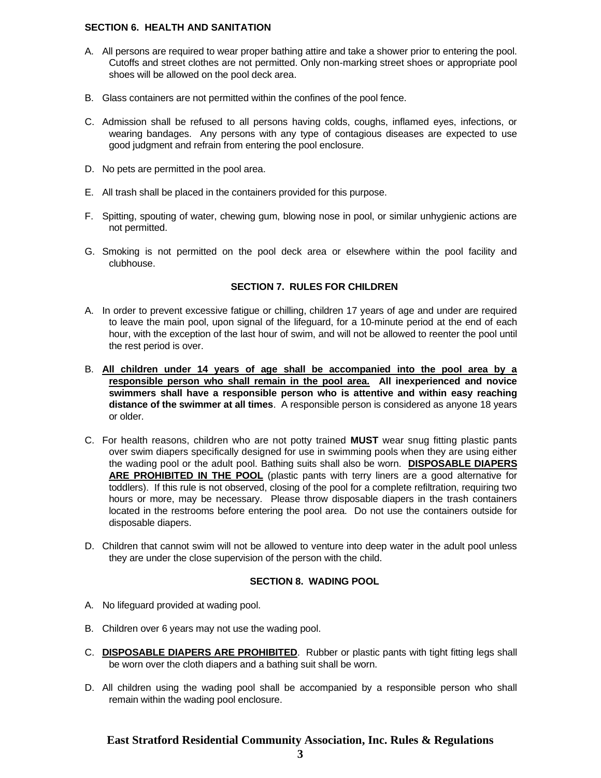### **SECTION 6. HEALTH AND SANITATION**

- A. All persons are required to wear proper bathing attire and take a shower prior to entering the pool. Cutoffs and street clothes are not permitted. Only non-marking street shoes or appropriate pool shoes will be allowed on the pool deck area.
- B. Glass containers are not permitted within the confines of the pool fence.
- C. Admission shall be refused to all persons having colds, coughs, inflamed eyes, infections, or wearing bandages. Any persons with any type of contagious diseases are expected to use good judgment and refrain from entering the pool enclosure.
- D. No pets are permitted in the pool area.
- E. All trash shall be placed in the containers provided for this purpose.
- F. Spitting, spouting of water, chewing gum, blowing nose in pool, or similar unhygienic actions are not permitted.
- G. Smoking is not permitted on the pool deck area or elsewhere within the pool facility and clubhouse.

### **SECTION 7. RULES FOR CHILDREN**

- A. In order to prevent excessive fatigue or chilling, children 17 years of age and under are required to leave the main pool, upon signal of the lifeguard, for a 10-minute period at the end of each hour, with the exception of the last hour of swim, and will not be allowed to reenter the pool until the rest period is over.
- B. **All children under 14 years of age shall be accompanied into the pool area by a responsible person who shall remain in the pool area. All inexperienced and novice swimmers shall have a responsible person who is attentive and within easy reaching distance of the swimmer at all times**. A responsible person is considered as anyone 18 years or older.
- C. For health reasons, children who are not potty trained **MUST** wear snug fitting plastic pants over swim diapers specifically designed for use in swimming pools when they are using either the wading pool or the adult pool. Bathing suits shall also be worn. **DISPOSABLE DIAPERS ARE PROHIBITED IN THE POOL** (plastic pants with terry liners are a good alternative for toddlers). If this rule is not observed, closing of the pool for a complete refiltration, requiring two hours or more, may be necessary. Please throw disposable diapers in the trash containers located in the restrooms before entering the pool area. Do not use the containers outside for disposable diapers.
- D. Children that cannot swim will not be allowed to venture into deep water in the adult pool unless they are under the close supervision of the person with the child.

#### **SECTION 8. WADING POOL**

- A. No lifeguard provided at wading pool.
- B. Children over 6 years may not use the wading pool.
- C. **DISPOSABLE DIAPERS ARE PROHIBITED**. Rubber or plastic pants with tight fitting legs shall be worn over the cloth diapers and a bathing suit shall be worn.
- D. All children using the wading pool shall be accompanied by a responsible person who shall remain within the wading pool enclosure.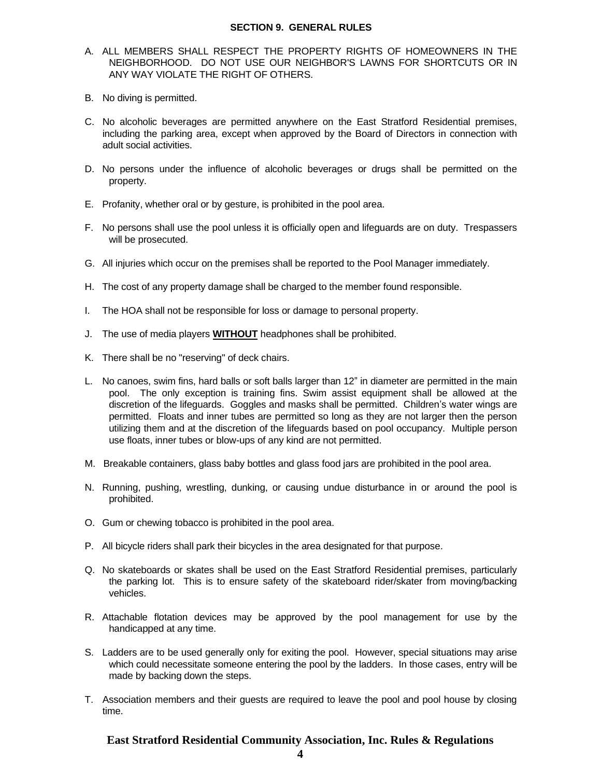#### **SECTION 9. GENERAL RULES**

- A. ALL MEMBERS SHALL RESPECT THE PROPERTY RIGHTS OF HOMEOWNERS IN THE NEIGHBORHOOD. DO NOT USE OUR NEIGHBOR'S LAWNS FOR SHORTCUTS OR IN ANY WAY VIOLATE THE RIGHT OF OTHERS.
- B. No diving is permitted.
- C. No alcoholic beverages are permitted anywhere on the East Stratford Residential premises, including the parking area, except when approved by the Board of Directors in connection with adult social activities.
- D. No persons under the influence of alcoholic beverages or drugs shall be permitted on the property.
- E. Profanity, whether oral or by gesture, is prohibited in the pool area.
- F. No persons shall use the pool unless it is officially open and lifeguards are on duty. Trespassers will be prosecuted.
- G. All injuries which occur on the premises shall be reported to the Pool Manager immediately.
- H. The cost of any property damage shall be charged to the member found responsible.
- I. The HOA shall not be responsible for loss or damage to personal property.
- J. The use of media players **WITHOUT** headphones shall be prohibited.
- K. There shall be no "reserving" of deck chairs.
- L. No canoes, swim fins, hard balls or soft balls larger than 12" in diameter are permitted in the main pool. The only exception is training fins. Swim assist equipment shall be allowed at the discretion of the lifeguards. Goggles and masks shall be permitted. Children's water wings are permitted. Floats and inner tubes are permitted so long as they are not larger then the person utilizing them and at the discretion of the lifeguards based on pool occupancy. Multiple person use floats, inner tubes or blow-ups of any kind are not permitted.
- M. Breakable containers, glass baby bottles and glass food jars are prohibited in the pool area.
- N. Running, pushing, wrestling, dunking, or causing undue disturbance in or around the pool is prohibited.
- O. Gum or chewing tobacco is prohibited in the pool area.
- P. All bicycle riders shall park their bicycles in the area designated for that purpose.
- Q. No skateboards or skates shall be used on the East Stratford Residential premises, particularly the parking lot. This is to ensure safety of the skateboard rider/skater from moving/backing vehicles.
- R. Attachable flotation devices may be approved by the pool management for use by the handicapped at any time.
- S. Ladders are to be used generally only for exiting the pool. However, special situations may arise which could necessitate someone entering the pool by the ladders. In those cases, entry will be made by backing down the steps.
- T. Association members and their guests are required to leave the pool and pool house by closing time.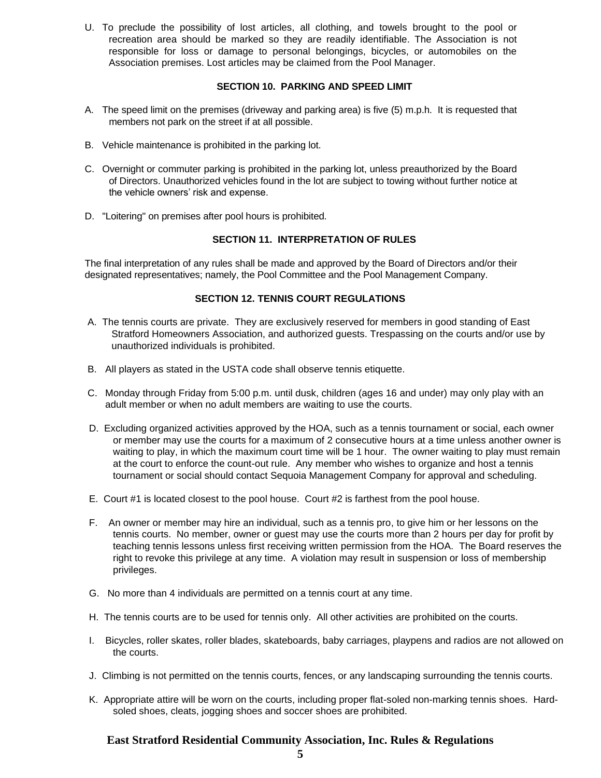U. To preclude the possibility of lost articles, all clothing, and towels brought to the pool or recreation area should be marked so they are readily identifiable. The Association is not responsible for loss or damage to personal belongings, bicycles, or automobiles on the Association premises. Lost articles may be claimed from the Pool Manager.

### **SECTION 10. PARKING AND SPEED LIMIT**

- A. The speed limit on the premises (driveway and parking area) is five (5) m.p.h. It is requested that members not park on the street if at all possible.
- B. Vehicle maintenance is prohibited in the parking lot.
- C. Overnight or commuter parking is prohibited in the parking lot, unless preauthorized by the Board of Directors. Unauthorized vehicles found in the lot are subject to towing without further notice at the vehicle owners' risk and expense.
- D. "Loitering" on premises after pool hours is prohibited.

## **SECTION 11. INTERPRETATION OF RULES**

The final interpretation of any rules shall be made and approved by the Board of Directors and/or their designated representatives; namely, the Pool Committee and the Pool Management Company.

### **SECTION 12. TENNIS COURT REGULATIONS**

- A. The tennis courts are private. They are exclusively reserved for members in good standing of East Stratford Homeowners Association, and authorized guests. Trespassing on the courts and/or use by unauthorized individuals is prohibited.
- B. All players as stated in the USTA code shall observe tennis etiquette.
- C. Monday through Friday from 5:00 p.m. until dusk, children (ages 16 and under) may only play with an adult member or when no adult members are waiting to use the courts.
- D. Excluding organized activities approved by the HOA, such as a tennis tournament or social, each owner or member may use the courts for a maximum of 2 consecutive hours at a time unless another owner is waiting to play, in which the maximum court time will be 1 hour. The owner waiting to play must remain at the court to enforce the count-out rule. Any member who wishes to organize and host a tennis tournament or social should contact Sequoia Management Company for approval and scheduling.
- E. Court #1 is located closest to the pool house. Court #2 is farthest from the pool house.
- F. An owner or member may hire an individual, such as a tennis pro, to give him or her lessons on the tennis courts. No member, owner or guest may use the courts more than 2 hours per day for profit by teaching tennis lessons unless first receiving written permission from the HOA. The Board reserves the right to revoke this privilege at any time. A violation may result in suspension or loss of membership privileges.
- G. No more than 4 individuals are permitted on a tennis court at any time.
- H. The tennis courts are to be used for tennis only. All other activities are prohibited on the courts.
- I. Bicycles, roller skates, roller blades, skateboards, baby carriages, playpens and radios are not allowed on the courts.
- J. Climbing is not permitted on the tennis courts, fences, or any landscaping surrounding the tennis courts.
- K. Appropriate attire will be worn on the courts, including proper flat-soled non-marking tennis shoes. Hardsoled shoes, cleats, jogging shoes and soccer shoes are prohibited.